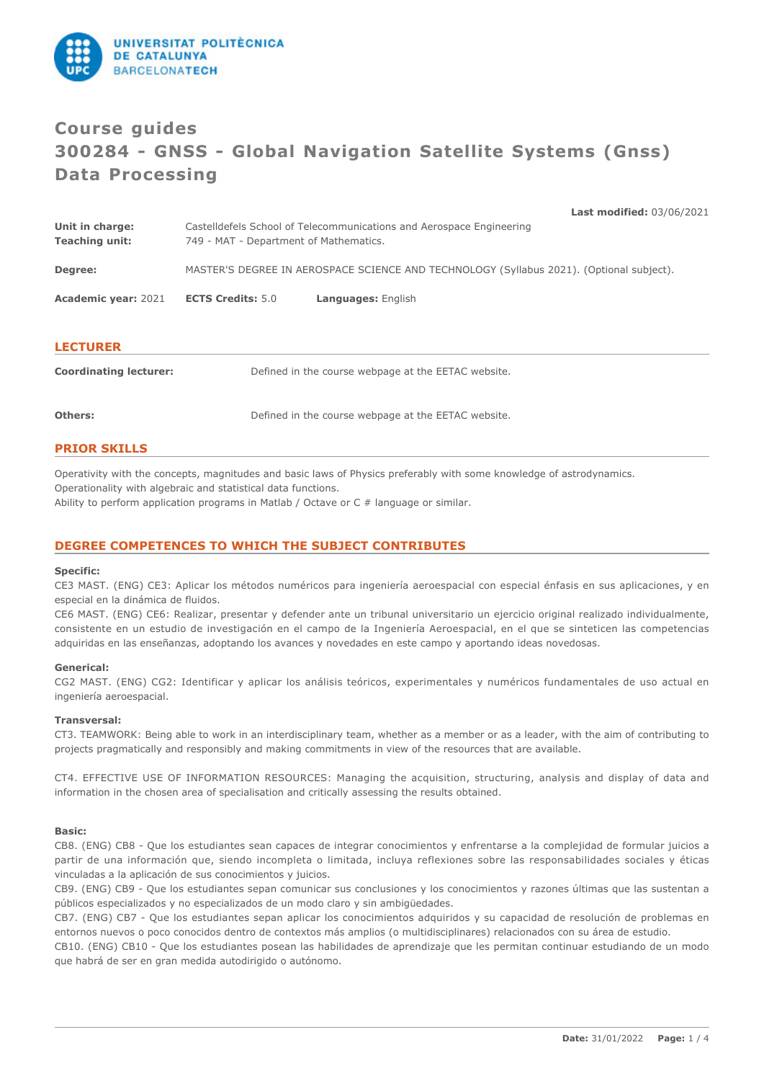

# **Course guides 300284 - GNSS - Global Navigation Satellite Systems (Gnss) Data Processing**

**Last modified:** 03/06/2021 **Unit in charge:** Castelldefels School of Telecommunications and Aerospace Engineering **Teaching unit:** 749 - MAT - Department of Mathematics. **Degree:** MASTER'S DEGREE IN AEROSPACE SCIENCE AND TECHNOLOGY (Syllabus 2021). (Optional subject). **Academic year:** 2021 **ECTS Credits:** 5.0 **Languages:** English **LECTURER Coordinating lecturer:** Defined in the course webpage at the EETAC website.

| <b>PRIOR SKILLS</b> |  |
|---------------------|--|

Operativity with the concepts, magnitudes and basic laws of Physics preferably with some knowledge of astrodynamics. Operationality with algebraic and statistical data functions.

Ability to perform application programs in Matlab / Octave or C # language or similar.

# **DEGREE COMPETENCES TO WHICH THE SUBJECT CONTRIBUTES**

#### **Specific:**

CE3 MAST. (ENG) CE3: Aplicar los métodos numéricos para ingeniería aeroespacial con especial énfasis en sus aplicaciones, y en especial en la dinámica de fluidos.

CE6 MAST. (ENG) CE6: Realizar, presentar y defender ante un tribunal universitario un ejercicio original realizado individualmente, consistente en un estudio de investigación en el campo de la Ingeniería Aeroespacial, en el que se sinteticen las competencias adquiridas en las enseñanzas, adoptando los avances y novedades en este campo y aportando ideas novedosas.

## **Generical:**

CG2 MAST. (ENG) CG2: Identificar y aplicar los análisis teóricos, experimentales y numéricos fundamentales de uso actual en ingeniería aeroespacial.

#### **Transversal:**

CT3. TEAMWORK: Being able to work in an interdisciplinary team, whether as a member or as a leader, with the aim of contributing to projects pragmatically and responsibly and making commitments in view of the resources that are available.

CT4. EFFECTIVE USE OF INFORMATION RESOURCES: Managing the acquisition, structuring, analysis and display of data and information in the chosen area of specialisation and critically assessing the results obtained.

#### **Basic:**

CB8. (ENG) CB8 - Que los estudiantes sean capaces de integrar conocimientos y enfrentarse a la complejidad de formular juicios a partir de una información que, siendo incompleta o limitada, incluya reflexiones sobre las responsabilidades sociales y éticas vinculadas a la aplicación de sus conocimientos y juicios.

CB9. (ENG) CB9 - Que los estudiantes sepan comunicar sus conclusiones y los conocimientos y razones últimas que las sustentan a públicos especializados y no especializados de un modo claro y sin ambigüedades.

CB7. (ENG) CB7 - Que los estudiantes sepan aplicar los conocimientos adquiridos y su capacidad de resolución de problemas en entornos nuevos o poco conocidos dentro de contextos más amplios (o multidisciplinares) relacionados con su área de estudio.

CB10. (ENG) CB10 - Que los estudiantes posean las habilidades de aprendizaje que les permitan continuar estudiando de un modo que habrá de ser en gran medida autodirigido o autónomo.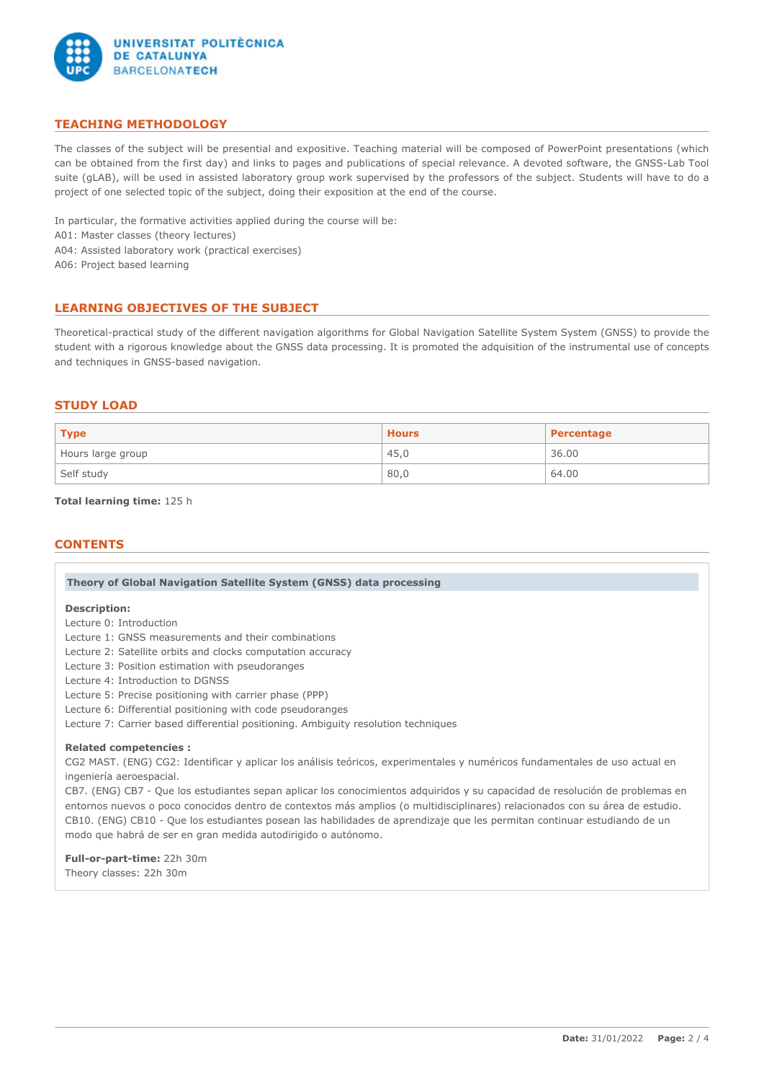

# **TEACHING METHODOLOGY**

The classes of the subject will be presential and expositive. Teaching material will be composed of PowerPoint presentations (which can be obtained from the first day) and links to pages and publications of special relevance. A devoted software, the GNSS-Lab Tool suite (gLAB), will be used in assisted laboratory group work supervised by the professors of the subject. Students will have to do a project of one selected topic of the subject, doing their exposition at the end of the course.

In particular, the formative activities applied during the course will be:

A01: Master classes (theory lectures)

A04: Assisted laboratory work (practical exercises)

A06: Project based learning

# **LEARNING OBJECTIVES OF THE SUBJECT**

Theoretical-practical study of the different navigation algorithms for Global Navigation Satellite System System (GNSS) to provide the student with a rigorous knowledge about the GNSS data processing. It is promoted the adquisition of the instrumental use of concepts and techniques in GNSS-based navigation.

## **STUDY LOAD**

| $ $ Type          | <b>Hours</b> | Percentage |  |
|-------------------|--------------|------------|--|
| Hours large group | 45,0         | 36.00      |  |
| Self study        | 80,0         | 64.00      |  |

### **Total learning time:** 125 h

## **CONTENTS**

| Theory of Global Navigation Satellite System (GNSS) data processing |  |  |  |
|---------------------------------------------------------------------|--|--|--|
|                                                                     |  |  |  |

#### **Description:**

Lecture 0: Introduction

Lecture 1: GNSS measurements and their combinations

Lecture 2: Satellite orbits and clocks computation accuracy

Lecture 3: Position estimation with pseudoranges

Lecture 4: Introduction to DGNSS

Lecture 5: Precise positioning with carrier phase (PPP)

Lecture 6: Differential positioning with code pseudoranges

Lecture 7: Carrier based differential positioning. Ambiguity resolution techniques

#### **Related competencies :**

CG2 MAST. (ENG) CG2: Identificar y aplicar los análisis teóricos, experimentales y numéricos fundamentales de uso actual en ingeniería aeroespacial.

CB7. (ENG) CB7 - Que los estudiantes sepan aplicar los conocimientos adquiridos y su capacidad de resolución de problemas en entornos nuevos o poco conocidos dentro de contextos más amplios (o multidisciplinares) relacionados con su área de estudio. CB10. (ENG) CB10 - Que los estudiantes posean las habilidades de aprendizaje que les permitan continuar estudiando de un modo que habrá de ser en gran medida autodirigido o autónomo.

**Full-or-part-time:** 22h 30m Theory classes: 22h 30m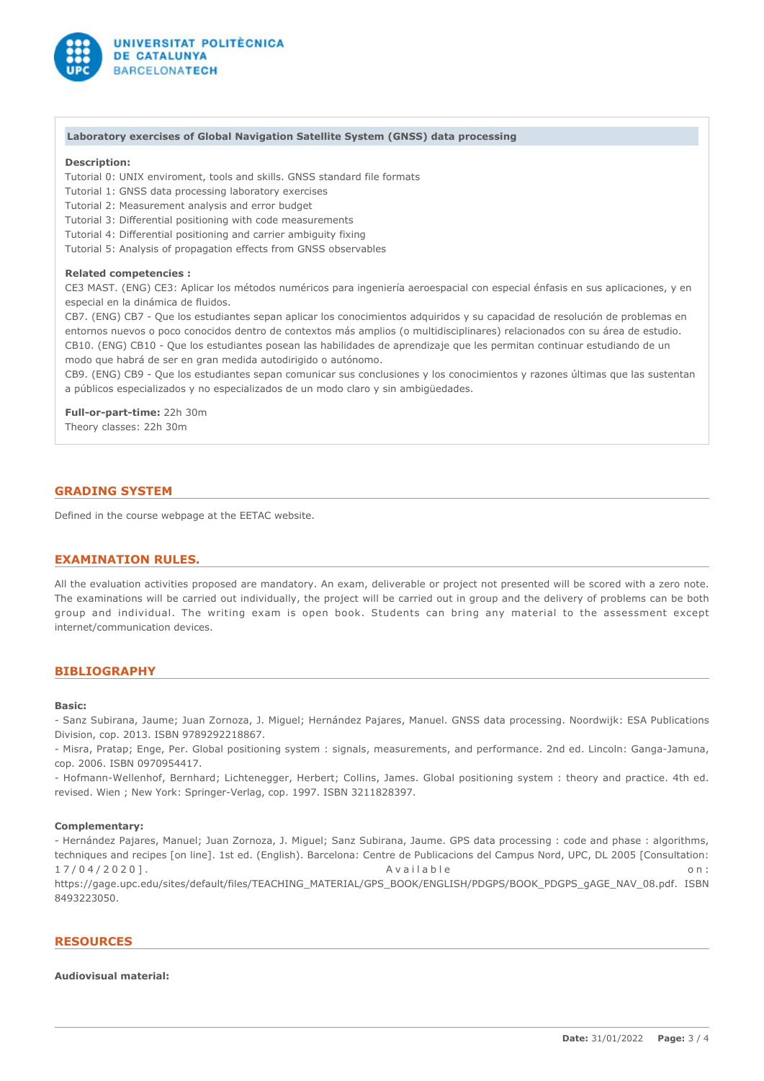

#### **Laboratory exercises of Global Navigation Satellite System (GNSS) data processing**

## **Description:**

Tutorial 0: UNIX enviroment, tools and skills. GNSS standard file formats

Tutorial 1: GNSS data processing laboratory exercises

Tutorial 2: Measurement analysis and error budget

Tutorial 3: Differential positioning with code measurements

Tutorial 4: Differential positioning and carrier ambiguity fixing

Tutorial 5: Analysis of propagation effects from GNSS observables

#### **Related competencies :**

CE3 MAST. (ENG) CE3: Aplicar los métodos numéricos para ingeniería aeroespacial con especial énfasis en sus aplicaciones, y en especial en la dinámica de fluidos.

CB7. (ENG) CB7 - Que los estudiantes sepan aplicar los conocimientos adquiridos y su capacidad de resolución de problemas en entornos nuevos o poco conocidos dentro de contextos más amplios (o multidisciplinares) relacionados con su área de estudio. CB10. (ENG) CB10 - Que los estudiantes posean las habilidades de aprendizaje que les permitan continuar estudiando de un modo que habrá de ser en gran medida autodirigido o autónomo.

CB9. (ENG) CB9 - Que los estudiantes sepan comunicar sus conclusiones y los conocimientos y razones últimas que las sustentan a públicos especializados y no especializados de un modo claro y sin ambigüedades.

**Full-or-part-time:** 22h 30m Theory classes: 22h 30m

## **GRADING SYSTEM**

Defined in the course webpage at the EETAC website.

## **EXAMINATION RULES.**

All the evaluation activities proposed are mandatory. An exam, deliverable or project not presented will be scored with a zero note. The examinations will be carried out individually, the project will be carried out in group and the delivery of problems can be both group and individual. The writing exam is open book. Students can bring any material to the assessment except internet/communication devices.

## **BIBLIOGRAPHY**

#### **Basic:**

- Sanz Subirana, Jaume; Juan Zornoza, J. Miguel; Hernández Pajares, Manuel. GNSS data processing. Noordwijk: ESA Publications Division, cop. 2013. ISBN 9789292218867.

- Misra, Pratap; Enge, Per. Global positioning system : signals, measurements, and performance. 2nd ed. Lincoln: Ganga-Jamuna, cop. 2006. ISBN 0970954417.

- Hofmann-Wellenhof, Bernhard; Lichtenegger, Herbert; Collins, James. Global positioning system : theory and practice. 4th ed. revised. Wien ; New York: Springer-Verlag, cop. 1997. ISBN 3211828397.

#### **Complementary:**

- Hernández Pajares, Manuel; Juan Zornoza, J. Miguel; Sanz Subirana, Jaume. GPS data processing : code and phase : algorithms, techniques and recipes [on line]. 1st ed. (English). Barcelona: Centre de Publicacions del Campus Nord, UPC, DL 2005 [Consultation: 17/04/2020]. Available on: https://gage.upc.edu/sites/default/files/TEACHING\_MATERIAL/GPS\_BOOK/ENGLISH/PDGPS/BOOK\_PDGPS\_gAGE\_NAV\_08.pdf. ISBN 8493223050.

#### **RESOURCES**

## **Audiovisual material:**